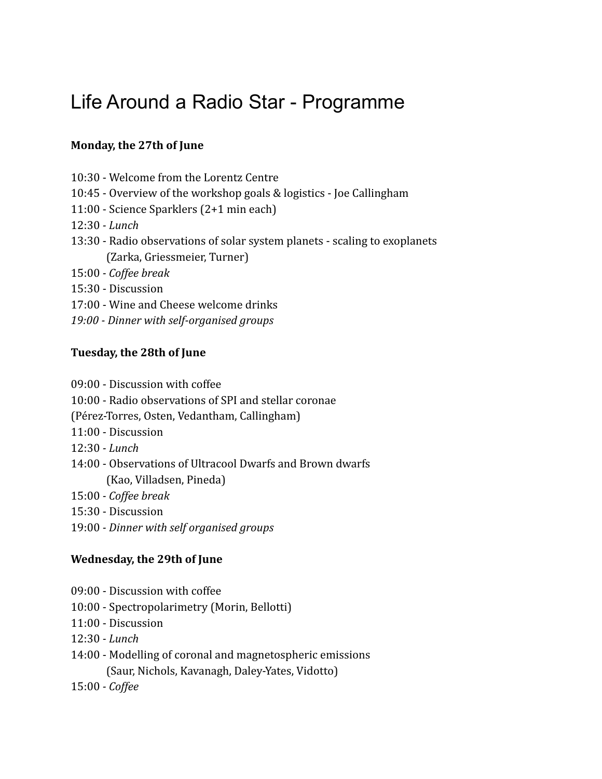# Life Around a Radio Star - Programme

### **Monday, the 27th of June**

- 10:30 Welcome from the Lorentz Centre
- 10:45 Overview of the workshop goals & logistics Joe Callingham
- 11:00 Science Sparklers (2+1 min each)
- 12:30  *Lunch*
- 13:30 Radio observations of solar system planets scaling to exoplanets (Zarka, Griessmeier, Turner)
- 15:00  *Coffee break*
- 15:30 Discussion
- 17:00 Wine and Cheese welcome drinks
- *19:00 Dinner with self-organised groups*

#### **Tuesday, the 28th of June**

- 09:00 Discussion with coffee
- 10:00 Radio observations of SPI and stellar coronae
- (Pérez-Torres, Osten, Vedantham, Callingham)
- 11:00 Discussion
- 12:30  *Lunch*
- 14:00 Observations of Ultracool Dwarfs and Brown dwarfs (Kao, Villadsen, Pineda)
- 15:00  *Coffee break*
- 15:30 Discussion
- 19:00  *Dinner with self organised groups*

#### **Wednesday, the 29th of June**

- 09:00 Discussion with coffee
- 10:00 Spectropolarimetry (Morin, Bellotti)
- 11:00 Discussion
- 12:30  *Lunch*
- 14:00 Modelling of coronal and magnetospheric emissions (Saur, Nichols, Kavanagh, Daley-Yates, Vidotto)
- 15:00  *Coffee*